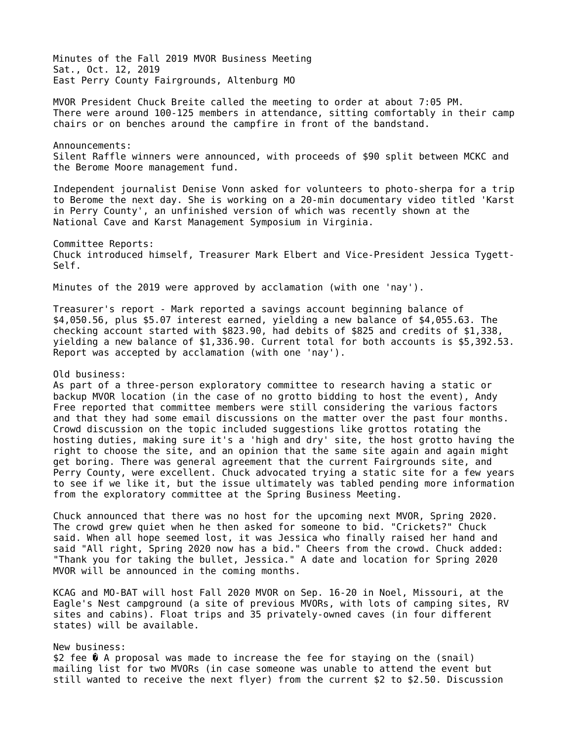Minutes of the Fall 2019 MVOR Business Meeting Sat., Oct. 12, 2019 East Perry County Fairgrounds, Altenburg MO

MVOR President Chuck Breite called the meeting to order at about 7:05 PM. There were around 100-125 members in attendance, sitting comfortably in their camp chairs or on benches around the campfire in front of the bandstand.

Announcements: Silent Raffle winners were announced, with proceeds of \$90 split between MCKC and the Berome Moore management fund.

Independent journalist Denise Vonn asked for volunteers to photo-sherpa for a trip to Berome the next day. She is working on a 20-min documentary video titled 'Karst in Perry County', an unfinished version of which was recently shown at the National Cave and Karst Management Symposium in Virginia.

Committee Reports: Chuck introduced himself, Treasurer Mark Elbert and Vice-President Jessica Tygett-Self.

Minutes of the 2019 were approved by acclamation (with one 'nay').

Treasurer's report - Mark reported a savings account beginning balance of \$4,050.56, plus \$5.07 interest earned, yielding a new balance of \$4,055.63. The checking account started with \$823.90, had debits of \$825 and credits of \$1,338, yielding a new balance of \$1,336.90. Current total for both accounts is \$5,392.53. Report was accepted by acclamation (with one 'nay').

## Old business:

As part of a three-person exploratory committee to research having a static or backup MVOR location (in the case of no grotto bidding to host the event), Andy Free reported that committee members were still considering the various factors and that they had some email discussions on the matter over the past four months. Crowd discussion on the topic included suggestions like grottos rotating the hosting duties, making sure it's a 'high and dry' site, the host grotto having the right to choose the site, and an opinion that the same site again and again might get boring. There was general agreement that the current Fairgrounds site, and Perry County, were excellent. Chuck advocated trying a static site for a few years to see if we like it, but the issue ultimately was tabled pending more information from the exploratory committee at the Spring Business Meeting.

Chuck announced that there was no host for the upcoming next MVOR, Spring 2020. The crowd grew quiet when he then asked for someone to bid. "Crickets?" Chuck said. When all hope seemed lost, it was Jessica who finally raised her hand and said "All right, Spring 2020 now has a bid." Cheers from the crowd. Chuck added: "Thank you for taking the bullet, Jessica." A date and location for Spring 2020 MVOR will be announced in the coming months.

KCAG and MO-BAT will host Fall 2020 MVOR on Sep. 16-20 in Noel, Missouri, at the Eagle's Nest campground (a site of previous MVORs, with lots of camping sites, RV sites and cabins). Float trips and 35 privately-owned caves (in four different states) will be available.

## New business:

\$2 fee � A proposal was made to increase the fee for staying on the (snail) mailing list for two MVORs (in case someone was unable to attend the event but still wanted to receive the next flyer) from the current \$2 to \$2.50. Discussion